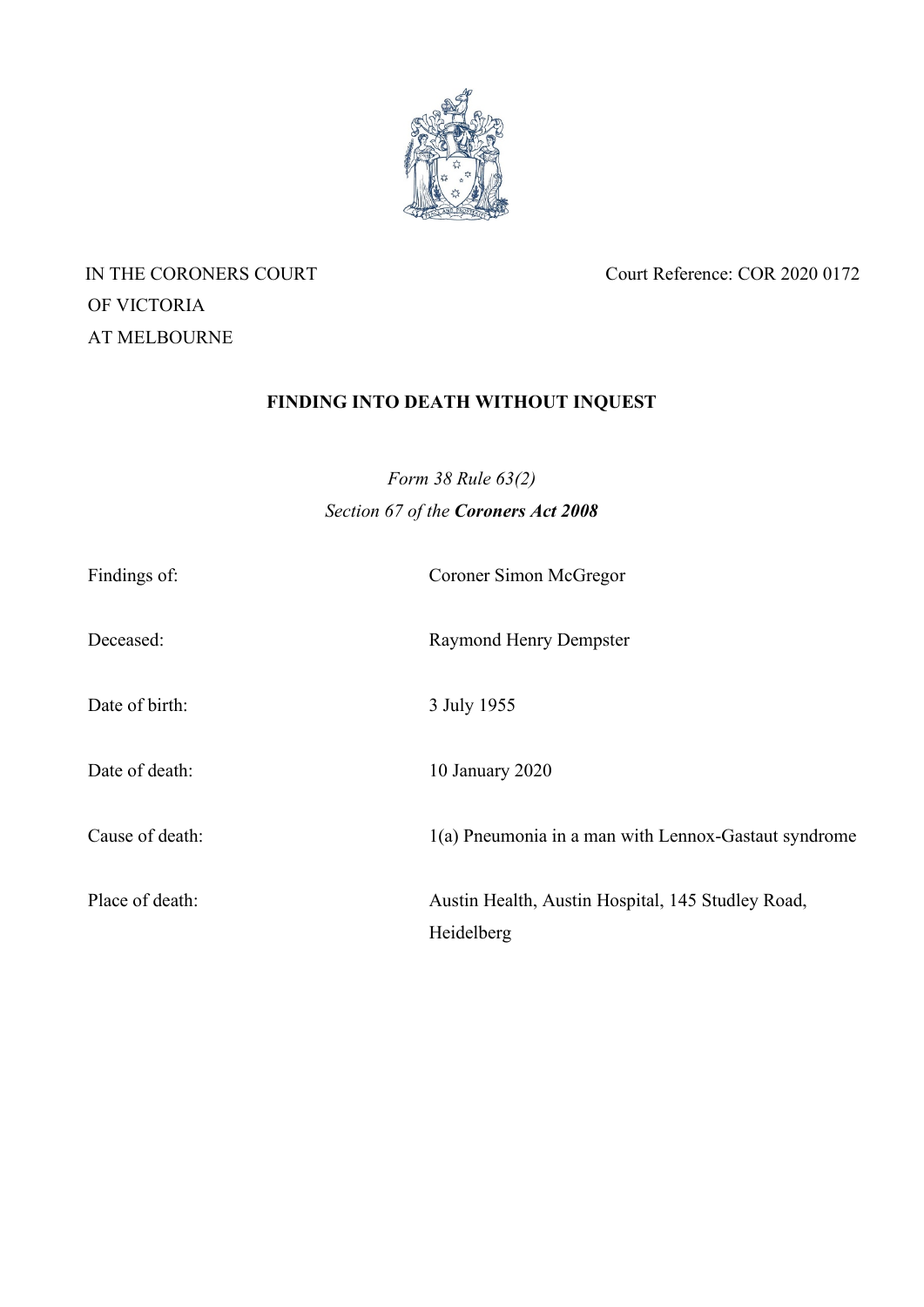

OF VICTORIA AT MELBOURNE

IN THE CORONERS COURT Court Reference: COR 2020 0172

# **FINDING INTO DEATH WITHOUT INQUEST**

*Form 38 Rule 63(2) Section 67 of the Coroners Act 2008*

| Findings of:    | Coroner Simon McGregor                                          |
|-----------------|-----------------------------------------------------------------|
| Deceased:       | <b>Raymond Henry Dempster</b>                                   |
| Date of birth:  | 3 July 1955                                                     |
| Date of death:  | 10 January 2020                                                 |
| Cause of death: | 1(a) Pneumonia in a man with Lennox-Gastaut syndrome            |
| Place of death: | Austin Health, Austin Hospital, 145 Studley Road,<br>Heidelberg |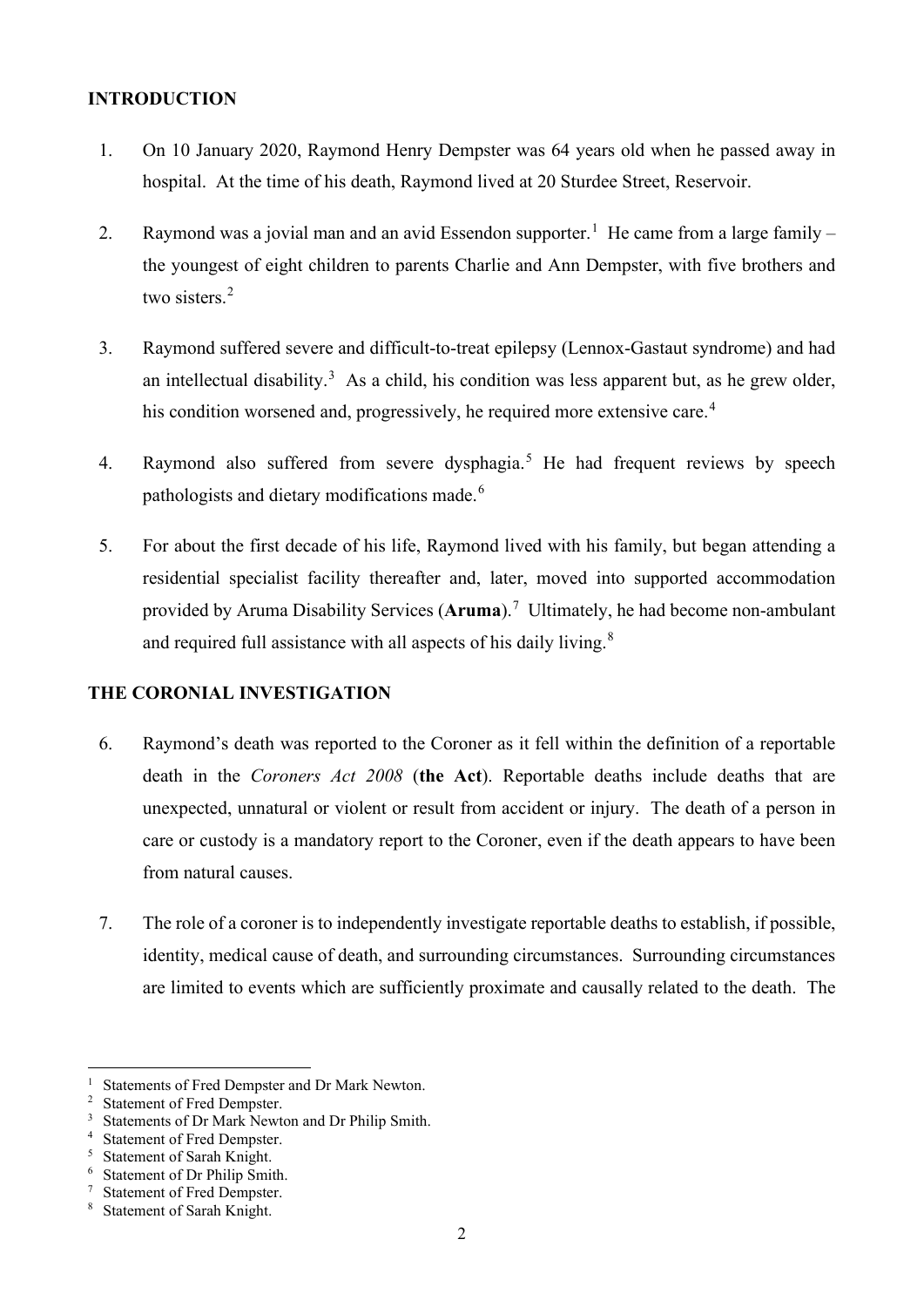## **INTRODUCTION**

- 1. On 10 January 2020, Raymond Henry Dempster was 64 years old when he passed away in hospital. At the time of his death, Raymond lived at 20 Sturdee Street, Reservoir.
- 2. Raymond was a jovial man and an avid Essendon supporter.<sup>[1](#page-1-0)</sup> He came from a large family  $$ the youngest of eight children to parents Charlie and Ann Dempster, with five brothers and two sisters.<sup>[2](#page-1-1)</sup>
- 3. Raymond suffered severe and difficult-to-treat epilepsy (Lennox-Gastaut syndrome) and had an intellectual disability.<sup>[3](#page-1-2)</sup> As a child, his condition was less apparent but, as he grew older, his condition worsened and, progressively, he required more extensive care.<sup>[4](#page-1-3)</sup>
- 4. Raymond also suffered from severe dysphagia.<sup>[5](#page-1-4)</sup> He had frequent reviews by speech pathologists and dietary modifications made.<sup>[6](#page-1-5)</sup>
- 5. For about the first decade of his life, Raymond lived with his family, but began attending a residential specialist facility thereafter and, later, moved into supported accommodation provided by Aruma Disability Services (**Aruma**). [7](#page-1-6) Ultimately, he had become non-ambulant and required full assistance with all aspects of his daily living.<sup>[8](#page-1-7)</sup>

# **THE CORONIAL INVESTIGATION**

- 6. Raymond's death was reported to the Coroner as it fell within the definition of a reportable death in the *Coroners Act 2008* (**the Act**). Reportable deaths include deaths that are unexpected, unnatural or violent or result from accident or injury. The death of a person in care or custody is a mandatory report to the Coroner, even if the death appears to have been from natural causes.
- 7. The role of a coroner is to independently investigate reportable deaths to establish, if possible, identity, medical cause of death, and surrounding circumstances. Surrounding circumstances are limited to events which are sufficiently proximate and causally related to the death. The

<span id="page-1-0"></span><sup>&</sup>lt;sup>1</sup> Statements of Fred Dempster and Dr Mark Newton.

<span id="page-1-1"></span><sup>&</sup>lt;sup>2</sup> Statement of Fred Dempster.

<span id="page-1-2"></span><sup>&</sup>lt;sup>3</sup> Statements of Dr Mark Newton and Dr Philip Smith.

<span id="page-1-3"></span><sup>4</sup> Statement of Fred Dempster.

<span id="page-1-4"></span><sup>5</sup> Statement of Sarah Knight.

<span id="page-1-5"></span><sup>6</sup> Statement of Dr Philip Smith.

<span id="page-1-6"></span><sup>7</sup> Statement of Fred Dempster.

<span id="page-1-7"></span><sup>8</sup> Statement of Sarah Knight.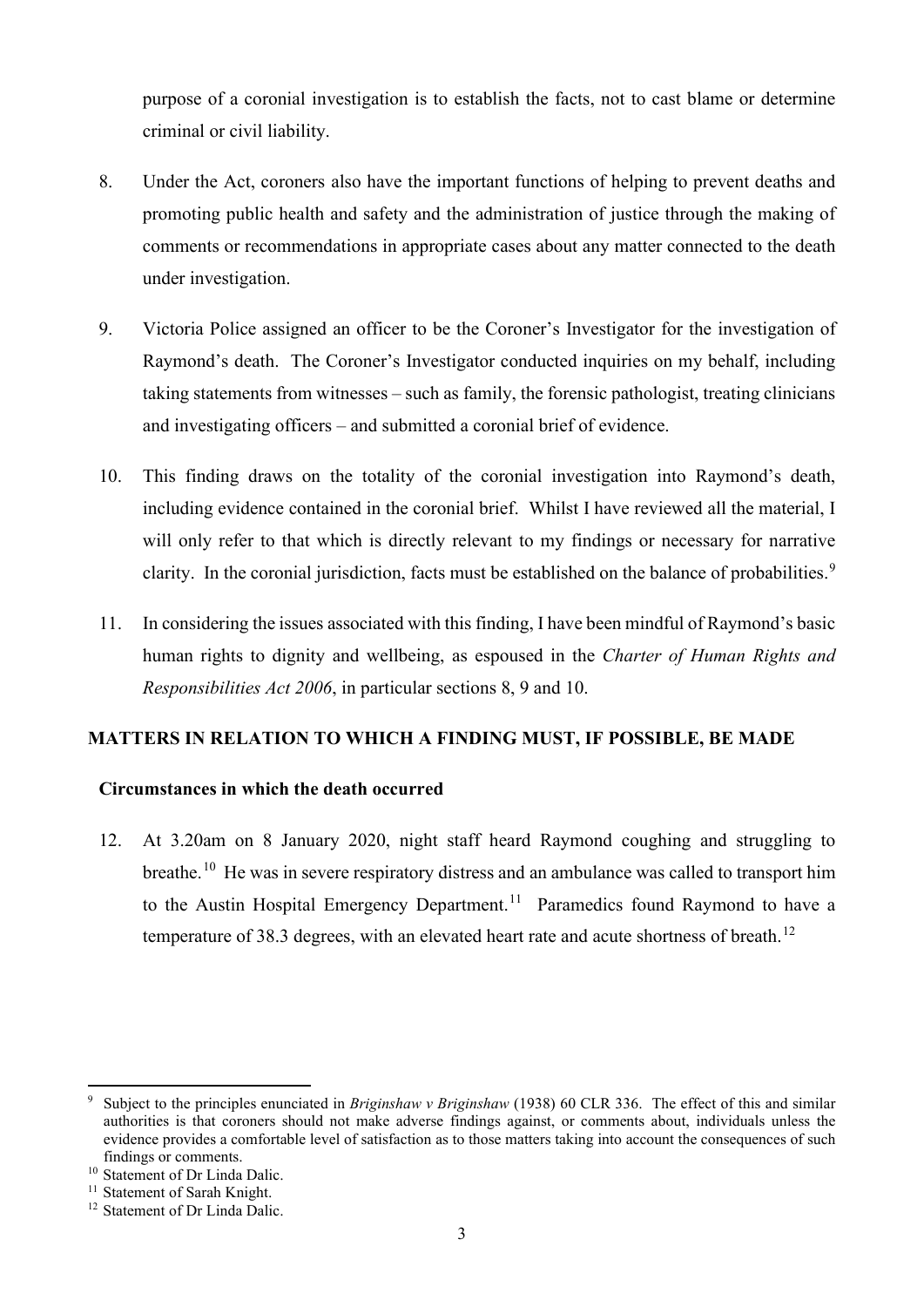purpose of a coronial investigation is to establish the facts, not to cast blame or determine criminal or civil liability.

- 8. Under the Act, coroners also have the important functions of helping to prevent deaths and promoting public health and safety and the administration of justice through the making of comments or recommendations in appropriate cases about any matter connected to the death under investigation.
- 9. Victoria Police assigned an officer to be the Coroner's Investigator for the investigation of Raymond's death. The Coroner's Investigator conducted inquiries on my behalf, including taking statements from witnesses – such as family, the forensic pathologist, treating clinicians and investigating officers – and submitted a coronial brief of evidence.
- 10. This finding draws on the totality of the coronial investigation into Raymond's death, including evidence contained in the coronial brief. Whilst I have reviewed all the material, I will only refer to that which is directly relevant to my findings or necessary for narrative clarity. In the coronial jurisdiction, facts must be established on the balance of probabilities.<sup>[9](#page-2-0)</sup>
- 11. In considering the issues associated with this finding, I have been mindful of Raymond's basic human rights to dignity and wellbeing, as espoused in the *Charter of Human Rights and Responsibilities Act 2006*, in particular sections 8, 9 and 10.

# **MATTERS IN RELATION TO WHICH A FINDING MUST, IF POSSIBLE, BE MADE**

# **Circumstances in which the death occurred**

12. At 3.20am on 8 January 2020, night staff heard Raymond coughing and struggling to breathe.<sup>[10](#page-2-1)</sup> He was in severe respiratory distress and an ambulance was called to transport him to the Austin Hospital Emergency Department.<sup>[11](#page-2-2)</sup> Paramedics found Raymond to have a temperature of 38.3 degrees, with an elevated heart rate and acute shortness of breath.<sup>[12](#page-2-3)</sup>

<span id="page-2-0"></span><sup>9</sup> Subject to the principles enunciated in *Briginshaw v Briginshaw* (1938) 60 CLR 336. The effect of this and similar authorities is that coroners should not make adverse findings against, or comments about, individuals unless the evidence provides a comfortable level of satisfaction as to those matters taking into account the consequences of such findings or comments.

<span id="page-2-1"></span><sup>&</sup>lt;sup>10</sup> Statement of Dr Linda Dalic.

<span id="page-2-2"></span><sup>&</sup>lt;sup>11</sup> Statement of Sarah Knight.

<span id="page-2-3"></span><sup>&</sup>lt;sup>12</sup> Statement of Dr Linda Dalic.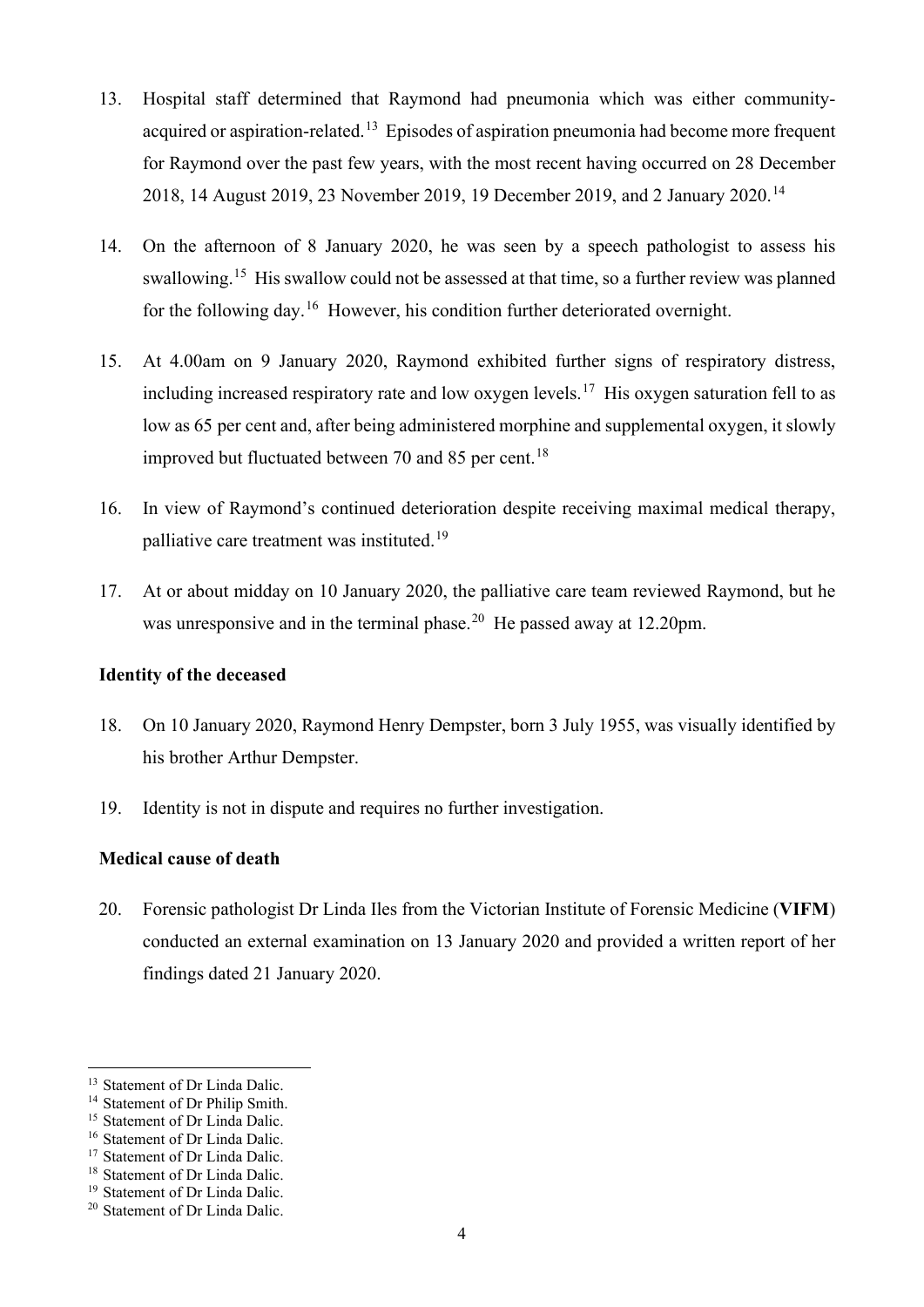- 13. Hospital staff determined that Raymond had pneumonia which was either communityacquired or aspiration-related.<sup>13</sup> Episodes of aspiration pneumonia had become more frequent for Raymond over the past few years, with the most recent having occurred on 28 December 2018, 14 August 2019, 23 November 2019, 19 December 2019, and 2 January 2020. [14](#page-3-1)
- 14. On the afternoon of 8 January 2020, he was seen by a speech pathologist to assess his swallowing.<sup>[15](#page-3-2)</sup> His swallow could not be assessed at that time, so a further review was planned for the following day.[16](#page-3-3) However, his condition further deteriorated overnight.
- 15. At 4.00am on 9 January 2020, Raymond exhibited further signs of respiratory distress, including increased respiratory rate and low oxygen levels. [17](#page-3-4) His oxygen saturation fell to as low as 65 per cent and, after being administered morphine and supplemental oxygen, it slowly improved but fluctuated between 70 and 85 per cent.<sup>[18](#page-3-5)</sup>
- 16. In view of Raymond's continued deterioration despite receiving maximal medical therapy, palliative care treatment was instituted.<sup>[19](#page-3-6)</sup>
- 17. At or about midday on 10 January 2020, the palliative care team reviewed Raymond, but he was unresponsive and in the terminal phase.<sup>[20](#page-3-7)</sup> He passed away at 12.20pm.

#### **Identity of the deceased**

- 18. On 10 January 2020, Raymond Henry Dempster, born 3 July 1955, was visually identified by his brother Arthur Dempster.
- 19. Identity is not in dispute and requires no further investigation.

# **Medical cause of death**

20. Forensic pathologist Dr Linda Iles from the Victorian Institute of Forensic Medicine (**VIFM**) conducted an external examination on 13 January 2020 and provided a written report of her findings dated 21 January 2020.

<span id="page-3-0"></span><sup>&</sup>lt;sup>13</sup> Statement of Dr Linda Dalic.

<span id="page-3-1"></span><sup>&</sup>lt;sup>14</sup> Statement of Dr Philip Smith.

<span id="page-3-2"></span><sup>&</sup>lt;sup>15</sup> Statement of Dr Linda Dalic.

<span id="page-3-3"></span><sup>&</sup>lt;sup>16</sup> Statement of Dr Linda Dalic.

<span id="page-3-4"></span><sup>&</sup>lt;sup>17</sup> Statement of Dr Linda Dalic.

<span id="page-3-5"></span><sup>&</sup>lt;sup>18</sup> Statement of Dr Linda Dalic.

<span id="page-3-6"></span><sup>&</sup>lt;sup>19</sup> Statement of Dr Linda Dalic.

<span id="page-3-7"></span><sup>20</sup> Statement of Dr Linda Dalic.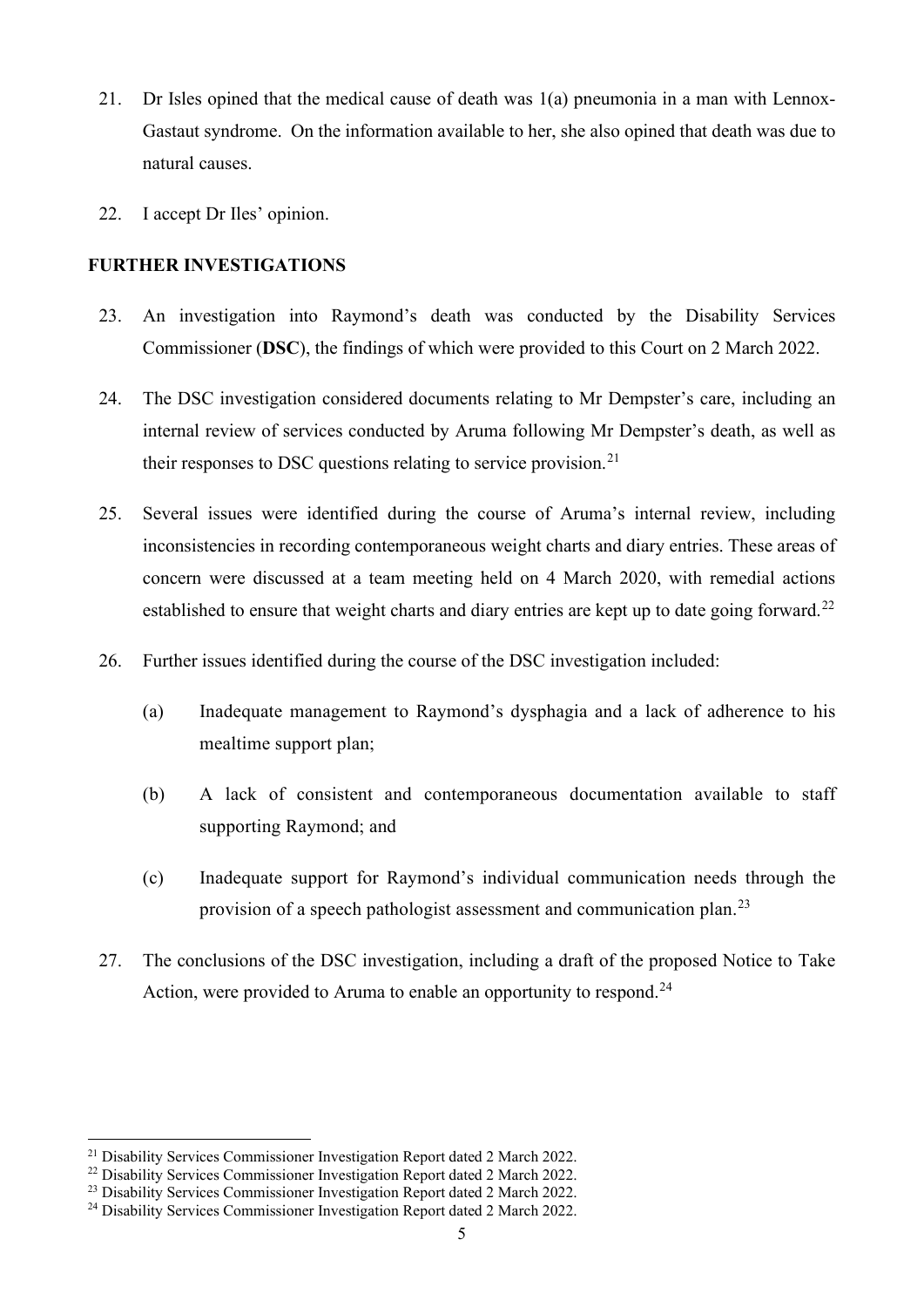- 21. Dr Isles opined that the medical cause of death was 1(a) pneumonia in a man with Lennox-Gastaut syndrome. On the information available to her, she also opined that death was due to natural causes.
- 22. I accept Dr Iles' opinion.

## **FURTHER INVESTIGATIONS**

- 23. An investigation into Raymond's death was conducted by the Disability Services Commissioner (**DSC**), the findings of which were provided to this Court on 2 March 2022.
- 24. The DSC investigation considered documents relating to Mr Dempster's care, including an internal review of services conducted by Aruma following Mr Dempster's death, as well as their responses to DSC questions relating to service provision.<sup>[21](#page-4-0)</sup>
- 25. Several issues were identified during the course of Aruma's internal review, including inconsistencies in recording contemporaneous weight charts and diary entries. These areas of concern were discussed at a team meeting held on 4 March 2020, with remedial actions established to ensure that weight charts and diary entries are kept up to date going forward.<sup>[22](#page-4-1)</sup>
- 26. Further issues identified during the course of the DSC investigation included:
	- (a) Inadequate management to Raymond's dysphagia and a lack of adherence to his mealtime support plan;
	- (b) A lack of consistent and contemporaneous documentation available to staff supporting Raymond; and
	- (c) Inadequate support for Raymond's individual communication needs through the provision of a speech pathologist assessment and communication plan.<sup>[23](#page-4-2)</sup>
- 27. The conclusions of the DSC investigation, including a draft of the proposed Notice to Take Action, were provided to Aruma to enable an opportunity to respond.<sup>[24](#page-4-3)</sup>

<span id="page-4-0"></span><sup>21</sup> Disability Services Commissioner Investigation Report dated 2 March 2022.

<span id="page-4-1"></span><sup>&</sup>lt;sup>22</sup> Disability Services Commissioner Investigation Report dated 2 March 2022.

<span id="page-4-2"></span><sup>&</sup>lt;sup>23</sup> Disability Services Commissioner Investigation Report dated 2 March 2022.

<span id="page-4-3"></span><sup>24</sup> Disability Services Commissioner Investigation Report dated 2 March 2022.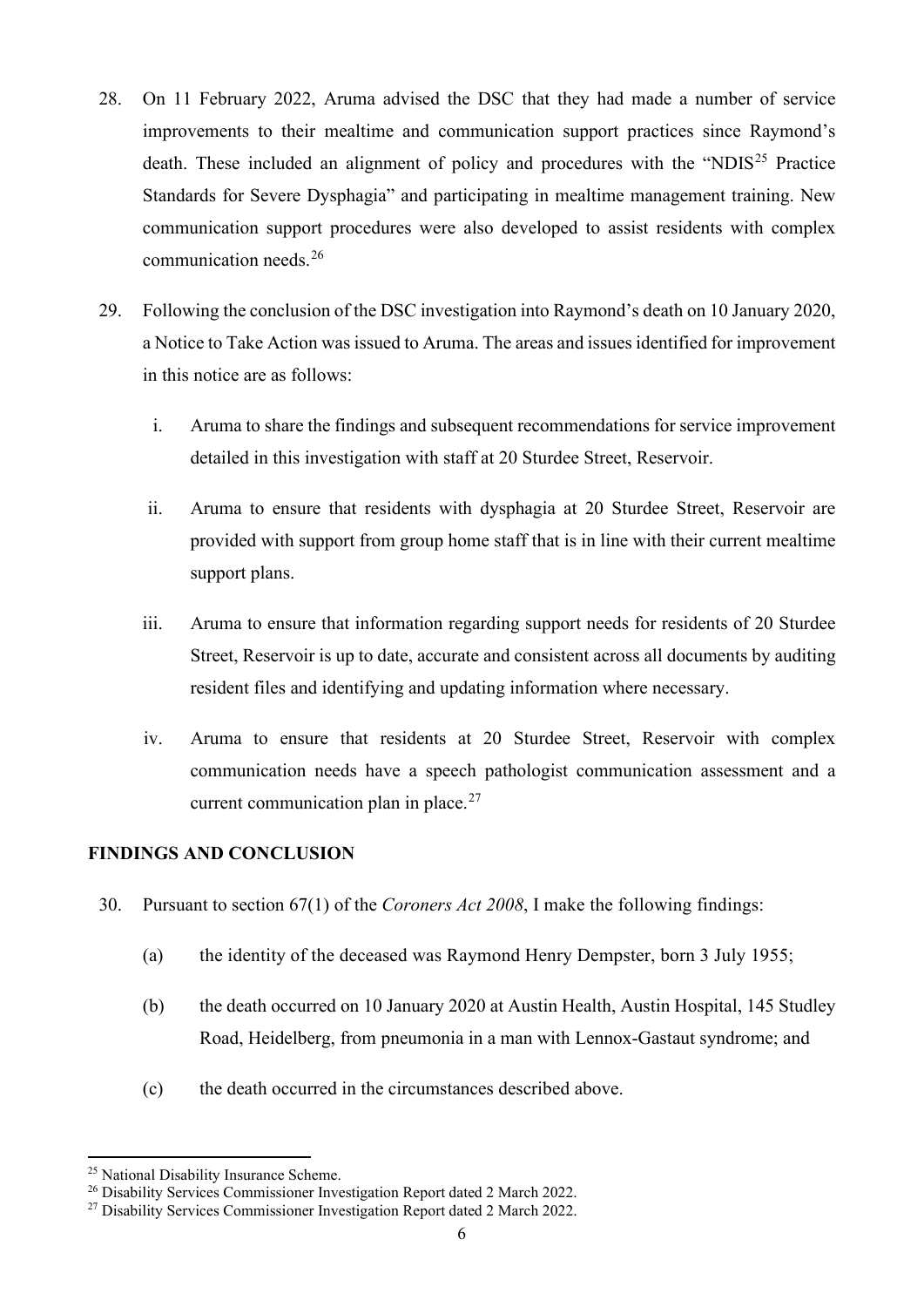- 28. On 11 February 2022, Aruma advised the DSC that they had made a number of service improvements to their mealtime and communication support practices since Raymond's death. These included an alignment of policy and procedures with the "NDIS<sup>[25](#page-5-0)</sup> Practice Standards for Severe Dysphagia" and participating in mealtime management training. New communication support procedures were also developed to assist residents with complex communication needs.[26](#page-5-1)
- 29. Following the conclusion of the DSC investigation into Raymond's death on 10 January 2020, a Notice to Take Action was issued to Aruma. The areas and issues identified for improvement in this notice are as follows:
	- i. Aruma to share the findings and subsequent recommendations for service improvement detailed in this investigation with staff at 20 Sturdee Street, Reservoir.
	- ii. Aruma to ensure that residents with dysphagia at 20 Sturdee Street, Reservoir are provided with support from group home staff that is in line with their current mealtime support plans.
	- iii. Aruma to ensure that information regarding support needs for residents of 20 Sturdee Street, Reservoir is up to date, accurate and consistent across all documents by auditing resident files and identifying and updating information where necessary.
	- iv. Aruma to ensure that residents at 20 Sturdee Street, Reservoir with complex communication needs have a speech pathologist communication assessment and a current communication plan in place. $27$

# **FINDINGS AND CONCLUSION**

- 30. Pursuant to section 67(1) of the *Coroners Act 2008*, I make the following findings:
	- (a) the identity of the deceased was Raymond Henry Dempster, born 3 July 1955;
	- (b) the death occurred on 10 January 2020 at Austin Health, Austin Hospital, 145 Studley Road, Heidelberg, from pneumonia in a man with Lennox-Gastaut syndrome; and
	- (c) the death occurred in the circumstances described above.

<span id="page-5-0"></span><sup>&</sup>lt;sup>25</sup> National Disability Insurance Scheme.

<span id="page-5-1"></span><sup>26</sup> Disability Services Commissioner Investigation Report dated 2 March 2022.

<span id="page-5-2"></span><sup>27</sup> Disability Services Commissioner Investigation Report dated 2 March 2022.